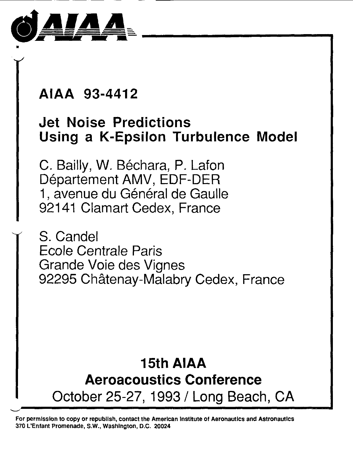

## **Jet Noise Predictions Using a K-Epsilon Turbulence Model**

AIAA 93-4412<br>
Jet Noise Predic<br>
Using a K-Epsilo<br>
C. Bailly, W. Bécha<br>
Département AMV<br>
1, avenue du Géné<br>
92141 Clamart Ceo<br>
Y S. Candel C. Bailly, W. Béchara, P. Lafon Département AMV, EDF-DER 1, avenue du Général de Gaulle 92141 Clamart Cedex, France

S. Candel Ecole Centrale Paris Grande Voie des Vignes 92295 Châtenay-Malabry Cedex, France

# **15th AlAA Aeroacoustics Conference**  October 25-27, 1993 / Long Beach, CA

**For permission to copy or republlsh, contact the Amerlcan Institute of Aeronautics and Astronautics 370 L'Enfant Promenade, S.W., Washlngton, D.C. 20024**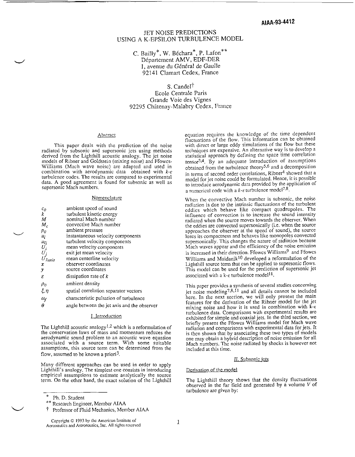### JET NOISE PREDICTIONS USING **A** K-EPSILON TURBULENCE MODEL

C. Bailly\*, W. Béchara $\degree$ , P. Lafon $\degree$ Département AMV, EDF-DER 1, avenue du Général de Gaulle 92141 Clamart Cedex, France

S. Candel<sup>†</sup>

Ecole Centrale Paris Grande Voie des Vignes 92295 Châtenay-Malabry Cedex, France

#### Abstract

*d* 

 $\overline{\phantom{0}}$ 

 $\cup$ 

This paper deals with the prediction of the noise radiated by subsonic and supersonic jets using methods derived from the Lighthill acoustic analogy. The jet noise models of Ribner and Goldstein (mixing noise) and Ffowcs-Williams (Mach wave noisc) are adapted and used in combination with aerodynamic data obtained with  $k-\epsilon$ turbulence codes. The results are compared to experimental data. A good agreement is found for subsonic as well as supersonic Mach numbers.

#### Nomenclature

| ambient speed of sound                      |
|---------------------------------------------|
| turbulent kinetic energy                    |
| nominal Mach number                         |
| convective Mach number                      |
| ambient pressure                            |
| instantaneous velocity components           |
| turbulent velocity components               |
| mean velocity components                    |
| exit jet mean velocity                      |
| mean centerline velocity                    |
| observer coordinates                        |
| source coordinates                          |
| dissipation rate of $k$                     |
| ambient density                             |
| spatial correlation separator vectors       |
| characteristic pulsation of turbulence      |
| angle between the jet axis and the observer |
|                                             |

#### 1. Introduction

The Lighthill acoustic analogy<sup>1,2</sup> which is a reformulation of the conservation laws of mass and momentum reduces the aerodynamic sound problem to an acoustic wave equation associated with a source term. With some suitable assumptions, this source term can be determined from the flow, assumed to be known a priori<sup>3</sup>.

Many different approaches can be used in order to apply Lighthill's analogy. The simplest one consists in introducing empirical assumptions to estimate analytically the source term. On the other hand, the exact solution of the Lighthill

equation requires the knowledge of thc time dependent fluctuations of the flow. This information can be obtained with direct or large eddy simulations of the flow but these techniques are expensive. An alternative way is to develop a statistical approach by defining the space time correlation  $tensor<sup>3,4</sup>$ . By an adequate introduction of assumptions obtained from the turbulence theory<sup>5,6</sup> and a decomposition<br>in terms of second order correlations, Ribner<sup>4</sup> showed that a in terms of second order correlations, Ribner<sup>+</sup> showed that a model for jet noisc could be formulated. Hence, it is possible to introduce aerodynamic data provided by the application of a numerical code with a  $k$ - $\varepsilon$  turbulence model<sup>7,8</sup>.

When the convective Mach number is subsonic, the noise radiation is due to the intrinsic fluctuations of the turbulent eddies which behave like compact quadrupoles. The influence of convection is to increase the sound intensity radiated when the source moves towards the observer. When the eddies are convected supersonically (i.e. when the source approaches the observer at the speed of sound), the source loses its compactness and behaves like monopoles convected supersonically. This changes the nature of radiation because Mach waves appear and the efficiency of the noise emission is increased in their direction. Ffowcs Williams<sup>9</sup> and Ffowcs Williams and Maidanik<sup>10</sup> developed a reformulation of the Lighthill source term that can be applied to supersonic flows. This model can be used for the prediction of supersonic jet associated with a k- $\varepsilon$  turbulence model<sup>11</sup>.

This paper provides a synthesis of seversl studies concerning jet noise modeling<sup>7,8,11</sup> and all details cannot be included here. In the next section, we will only present the main fcatures for the derivation of the Ribner model for the jet mixing noise and how it is used in combination with  $k_{\text{c}}$ turbulence data. Comparisons with experimental results are briefly present the Ffowcs Williams model for Mach wave radiation and comparisons with experimental data for jets. It is then shown that by associating these two types of models one may obtain a hybrid description of noise emission for all Mach numbers. Thc noise radiated by shocks is however not included at this time.

#### II. Subsonic jets

#### Derivation of the model

The Lighthill theory shows that the density fluctuations observed in the far field and generated by a volume V of turbulence are given by:

<sup>\*</sup> Ph. D. Student

Rcsearch Engineer, Member AIAA \*\*

t Professor of Fluid Mechanics, Member AIAA

Copyright *0* 1993 by Ihc American Inslilulc of Aeronautics and Astronautics, Inc. All rights reserved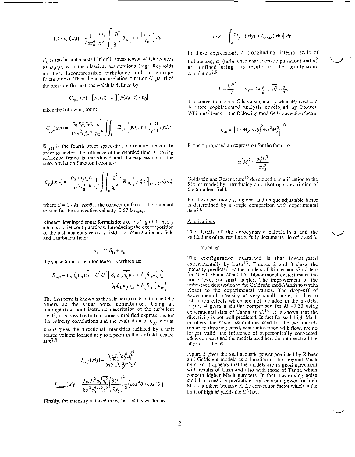<span id="page-2-0"></span>
$$
(\rho - \rho_0)(x,t) = \frac{1}{4\pi c_0^4} \frac{x_i x_j}{x^3} \int_{\mathcal{V}} \frac{\partial^2}{\partial t^2} T_{ij} \left( y, t - \frac{|x - y|}{c_0} \right) dy
$$

 $T_{ii}$  is the instantaneous Lighthill stress tensor which reduces to  $\rho_0 u_i u_j$  with the classical assumptions (high Reynolds number, incompressible turbulence and no entropy fluctuations). Then the autocorrelation function  $C_{nn}(x, \tau)$  of the pressure fluctuations which is defined by:

$$
C_{pp}(x,\tau) = \left[p(x,t) - p_0\right] \left[p(x,t+\tau) - p_0\right]
$$

takes the following form:

$$
C_{pp}(x,\tau) = \frac{\rho_0 x_i x_j x_k x_l}{16\pi^2 c_0^5 x^6} \frac{\partial^4}{\partial \tau^4} \iint_V R_{ijkl} \left( y, \eta, \tau + \frac{x, \eta}{c_0 x} \right) dy d\eta
$$

 $\mathbb{R}_{ijkl}$  is the fourth order space-time correlation tensor. In order to neglect the influence of the retarded time, a moving reference frame is introduced and the expression of the autocorrelation function becomes:

$$
C_{pp}(x,\tau) = \frac{\rho_0 x_j x_j x_k x_l}{16\pi^2 c_0^5 x^6} \frac{1}{C^5} \int \int_{\nu} \frac{\partial^4}{\partial t^4} \left[ R_{ijkl} \left( y, \xi, t \right) \right]_{t=\tau/C} dy d\xi
$$

where  $C = 1 - M_c \cos\theta$  is the convection factor. It is standard to take for the convective velocity 0.67  $U_{laxis}$ .

Ribner<sup>4</sup> developed some formulations of the Lighthill theory adapted to jet configurations. Introducing the decomposition of the instantaneous velocity field in a mean stationary field and a turbulent field:

$$
u_i = U_1 \delta_{1i} + u_{ti}
$$

the space time correlation tensor is written as:

$$
R_{ijkl} = \overline{u_{ii}u_{ij}u_{ik}u_{il}} + U_1U_1^{\dagger} \left( \delta_{1i} \delta_{1k} \overline{u_{ij}u_{il}} + \delta_{1j} \delta_{1k} u_{li}u_{il} + \delta_{1j} \delta_{1l} u_{li}u_{il} \right) + \delta_{1i} \delta_{1l} u_{ij}u_{ik} + \delta_{1j} \delta_{1l} u_{li}u_{ik} \right)
$$

The first term is known as the self noise contribution and the others as the shear noise contribution. Using an homogeneous and isotropic description of the turbulent  $field<sup>4</sup>$ , it is possible to find some simplified expressions for the velocity correlations and the evaluation of  $C_{pp}(x, \tau)$  at

 $\tau = 0$  gives the directional intensities radiated by a unit source volume located at y to a point in the far field located at  $\mathbf{x}^{7,8}$ .

$$
I_{self}(x|y) = \frac{3\rho_0 L^3 \omega_i^4 u_i^2}{2\sqrt{2}\pi^2 c_0^5 C^5 x^2}
$$

$$
I_{shear}(x|y) = \frac{3\rho_0 L^5 \omega_i^4 u_i^2}{8\pi^3 c_0^5 C^5 x^2} \left(\frac{\partial U_1}{\partial y_2}\right)^2 \frac{1}{2} \left(\cos^4\theta + \cos^2\theta\right)
$$

Finally, the intensity radiated in the far field is written as:

$$
I(x) = \int_{y} \left[ I_{self}(x|y) + I_{shear}(x|y) \right] dy
$$

In these expressions,  $L$  (longitudinal integral scale of turbulence),  $\omega_i$  (turbulence characteristic pulsation) and  $u_i^2$ are defined using the results of the aerodynamic calculation<sup>7,8</sup>:

$$
L = \frac{k^{3/2}}{\varepsilon} \quad , \quad \omega_f = 2\pi \frac{\varepsilon}{k} \quad , \quad \overline{u_i^2} = \frac{2}{3}k
$$

The convection factor C has a singularity when  $M_c \cos\theta = I$ . A more sophisticated analysis developed by Ffowcs-Williams<sup>9</sup> leads to the following modified convection factor:

$$
C_m = \left[ \left( 1 - M_c \cos \theta \right)^2 + \alpha^2 M_c^2 \right]^{1/2}
$$

Ribner<sup>4</sup> proposed an expression for the factor  $\alpha$ :

$$
\alpha^2 M_c^2 = \frac{\omega_f^2 L^2}{\pi c_0^2}
$$

Goldstein and Rosenbaum<sup>12</sup> developed a modification to the Ribner model by introducing an anisotropic description of the turbulent field.

For these two models, a global and unique adjustable factor is determined by a single comparison with experimental data<sup>7,8</sup>.

#### **Applications**

The details of the aerodynamic calculations and the validations of the results are fully documented in ref 7 and 8.

#### round jet

The configuration examined is that investigated experimentally by Lush<sup>13</sup>. Figures 2 and 3 show the intensity predicted by the models of Ribner and Goldstein for  $M = 0.56$  and  $M = 0.86$ . Ribner model overestimates the noise level for small angles. The improvement of the turbulence description in the Goldstein model leads to results closer to the experimental values. The drop-off of experimental intensity at very small angles is due to refraction effects which are not included in the models. Figure 4 gives a similar comparison for  $M = 1.33$  using experimental data of Tanna et al.<sup>14</sup>. It is shown that the directivity is not well predicted. In fact for such high Mach numbers, the basic assumptions used for the two models (retarded time neglected, weak interaction with flow) are no longer valid, the influence of supersonically convected eddies appears and the models used here do not match all the physics of the jet.

Figure 5 gives the total acoustic power predicted by Ribner and Goldstein models as a function of the nominal Mach number. It appears that the models are in good agreement with results of Lush and also with those of Tanna which concern higher Mach numbers. In fact, the mixing noise models succeed in predicting total acoustic power for high Mach numbers because of the convection factor which in the limit of high  $M$  yields the U<sup>3</sup> law.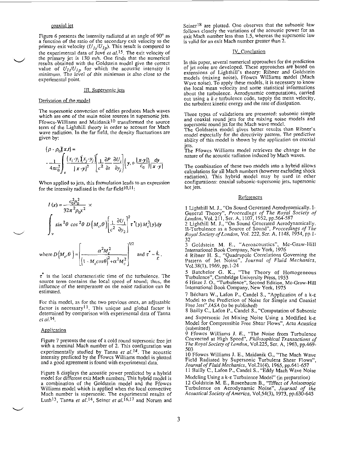#### coaxial iet

-.

<span id="page-3-0"></span>[Figure](#page-7-0) 6 presents the intensity radiated at an angle of  $90^\circ$  as a function of the ratio of the secondary exit velocity to the primary exit velocity  $(U_{1s}/U_{1p})$ . This result is compared to the experimental data of Juve *et al.*<sup>15</sup>. The exit velocity of the primary jet is 130 m/s. One finds that the numerical results obtained with the Goldstein model give the correct value of  $U_{I}U_{I}$  for which the acoustic intensity is minimum. The level of this minimum is also close to the experimental point.

#### 111. Sunersonic icis

#### Derivation of the model

The supersonic convection of eddies produces Mach waves which are one of the main noise sources in supersonic jets.<br>Ffowes-Williams and Maidanik<sup>10</sup> transformed the source term of the Lighthill theory in order to account for Mach wave radiation. In the far field, the density fluctuations are given by:

$$
(\rho \cdot \rho_0)(x,t) =
$$
  
\n
$$
-\frac{1}{4\pi c_0^2} \int_{v} \frac{(x_i - y_i)(x_j - y_j)}{|x - y|^2} \left[ \frac{1}{c^2} \frac{\partial P}{\partial t} \frac{\partial U_i}{\partial y_j} \right] (y, t - \frac{|x - y|}{c_0}) \frac{dy}{|x - y|}
$$

When applied to jets, this formulation leads to an expression for the intensity radiated in the far field  $10.11$ .

$$
I(x) = \frac{c_0^2 p_0^2}{32\pi^2 \rho_0 x^2} \times
$$
  

$$
\int_{v} \sin^2 \theta \cos^2 \theta D\left(M_c, \theta\right) \left[\frac{1}{c^2} \frac{\partial U_1}{\partial y_2}\right]^2 \tau^*(y) M_c^3(y) dy
$$

where 
$$
D(M_c, \theta) = \begin{bmatrix} \frac{\alpha^2 M_c^2}{1 - M_c \cos \theta^2 + \alpha^2 M_c^2} \end{bmatrix}^{5/2}
$$
 and  $\tau^* \sim \frac{k}{\epsilon}$ .  
3 Goldstein M. E., "Aeroacoustics", Mc-Graw-Hill  
International Book Company, New York, 1976  
4 Ribner H. S., "Quadrupole Correlations Governing the  
Pattern of Jet Noise", Journal of Fluid Mechanics,

 $\tau$  is the local characteristic time of the turbulence. The source term contains the local speed of sound; thus, the influence of the temperature on the noise radiation can he estimated.

For this model, as for the two previous ones, an adjustable factor is necessary<sup>11</sup>. This unique and global factor is determined by comparison with experimental data of Tanna *et* ni.14.

#### **Application**

 $\overline{\phantom{0}}$ 

Figure *7* presents the case of a cold round supersonic free jet with a nominal Mach number of 2. This configuration was experimentally studied by Tanna et *al.14.* The acoustic intensity predicted by the Ffowcs Williams model is plotted and a good agreement is found with experimental data.

[Figure 8](#page-8-0) displays the acoustic power predicted by a hybrid model for different exit Mach numbers. This hybrid model is a combination of the Goldstein model and the Ffowcs Williams model which is applied when the local convective Mach number is supersonic. The experimental results of Lush<sup>13</sup>, Tanna et al.<sup>14</sup>, Seiner et al.<sup>16,17</sup> and Norum and Seiner<sup>18</sup> are plotted. One observes that the subsonic law follows closely the variations of the acoustic power for an exit Mach number less than 1.5, whereas the supersonic law is valid for an exit Mach number greater than 2.

#### IV. Conclusion

In this paper, several numerical approaches for the prediction of jet noise are developed. These approaches are based on of jet noise are developed. These approaches are based on extensions of Lighthill's theory: Ribner and Goldstein models (mixing noise), Ffowcs Williams model (Mach Wave noise). To apply these models, it is necessary to know the local mean velocity and some statistical informations about the turbulence. Aerodynamic computations, carried out using a  $k$ - $\varepsilon$  turbulence code, supply the mean velocity, the turbulent kinetic energy and the rate of dissipation.

Three types of validations are presented: subsonic simple and coaxial round jets for the mixing noise models and supersonic round jet for the Mach wave model.

The Goldstein model gives better results than Ribner's model especially for the directiviry pattern. The predictive ability of this model is shown by the application on coaxial jets.

The Ffowcs Williams model retrieves the change in the nature of the acoustic radiation induced by Mach waves.

The combination of these two models into a hybrid allows calculations for all Mach numbers (however excluding shock radiation). This hybrid model may be used in other configurations: coaxial subsonic-supersonic jets, supersonic hot jets.

#### **References**

1 Lighthill M. J., "On **Sound** Generated Aerodynamically. I-General Theory", Proceedings *of The* Royal Society *of /.nndnn.* Vol~ 21 1. Ser. **A.** 1107. 1952. uo.564-587

 $32$ 

r *1512* **1** Goldstein M. E,. "Aeroacoustics". Mc-Craw-Hill Inte&ional Book Company, New York, 1976

Vo1.38(1), 1969, pp.1-24

5 Batchelor G. K., "The Theory of Homogeneous

Turbulence", Cambridge University Press, 1953<br>6 Hinze J. O., "Turbulence", Second Edition, Mc-Graw-Hill lnternational Book Company, New York, 1975

7 Béchara W., Lafon P., Candel S., "Application of a  $k$ - $\varepsilon$ the Prediction of Noise for Simple and Coaxial Free Jets" JASA (to be published)

8 Bailly C., Lafon P., Candel S., "Computation of Subsonic and Supersonic Jet Mixing Noise Using a Modified k-e Model for Compressible Free Shear Flows", Acta Acusrica (submitted)

9 Ffowcs Williams **J.** E., "The Noise from Turbulence Convected at High Speed", Philosophical Transactions of Convected at High Speed", *Philosophical Transactions of*<br>The Royal Society of London, Vol.225, Ser. A, 1963, pp.469-<br>503 Senior Williams J. E., Meidarik G., <sup>475</sup>ke Mark Ways

10 Ffowcs Williams **J.** E., Maidanik G., "The Mach Wave Field Radiated by Supersonic Turbulent Shear Flows", Journal of Fluid Mechanics, Vo1.21(4), 1965, pp.641-657

11 Bailly C., Lafon P., Candel *S.,* "Eddy Mach Wave Noise Modeling Using a **k-e** Turbulence Model" (in preparation)

12 Goldstein M. E., Rosenbaum B., "Effect of Anisotropic Turbulence on Aerodynamic Noise", Journal of the Acoustical Society *of* America, Vo1.54(3), 1973, pp.630-645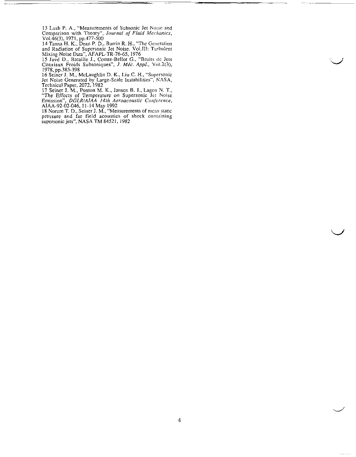13 Lush P. **A,,** "Measurements of Subsonic Jet Noise and Compnrison with Theory", *Journal of Fluid Mrchunics,*   $Vol.46(3), 1971, pp.477-500$ 

14 Tanna H. K., Dean P. D., Burrin R. H., "The Generation and Radiation of Supersonic let Noise. Vol.111: Turbulent

Mixing Noise Data", AFAPL-TR-76-65, 1976<br>15 Juvé D., Bataille J., Comte-Bellot G., "Bruits de Jets Coaxiaux Froids Subsoniques", *J. Méc. Appl.*, Vol.2(3), 1978, pp.385-398

16 Seiner J. M., McLaughlin D. K., **Liu** *C.* H., "Supersonic Jet Noise Generated by Large-Scale Instabilities", **XASA,** 

Technical Paper, 2072, 1982 17 Seiner I. M., Ponton M. K., Jnnsen B. J., Lagen N. T., "The Effects of Temperature on Supersonic Jet Noise Emission", *DGLRiAlAA 14th Aeroacoustic Conference,* 

AIAA-92-02-046, 11-14 **May** 1992 *<sup>1</sup>***R** Norum T. D.. Seiner J. M.. "Measurements of niciin static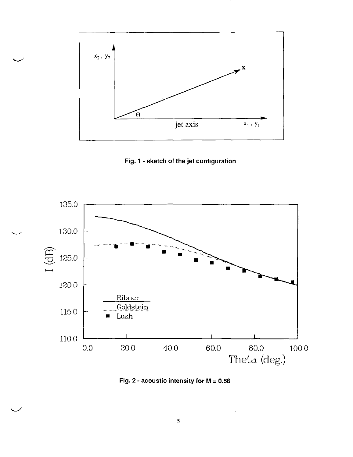<span id="page-5-0"></span>

Fig. 1 - sketch of the jet configuration



Fig. 2 - acoustic intensity for  $M = 0.56$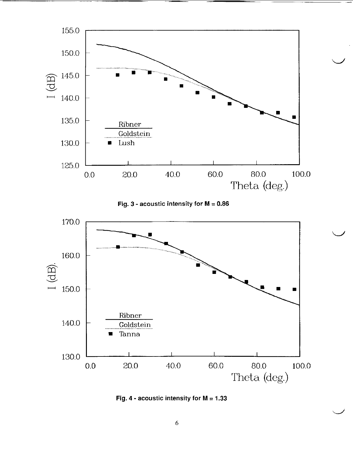

**Fig. 3 - acoustic intensity for**  $M = 0.86$ 



**Fig.** *4* - **acoustic intensity for M** = **1.33**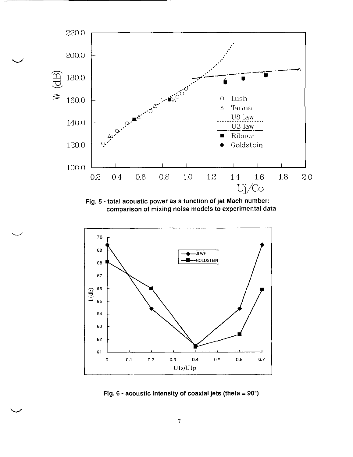<span id="page-7-0"></span>

**[Fig.](#page-2-0) 5** - **total acoustic power as a function** of **jet Mach number: comparison of mixing noise models to experimental data** 

 $\overline{\phantom{0}}$ 



**Fig. 6** - **acoustic intensity of coaxial jets (theta** = **90°)**